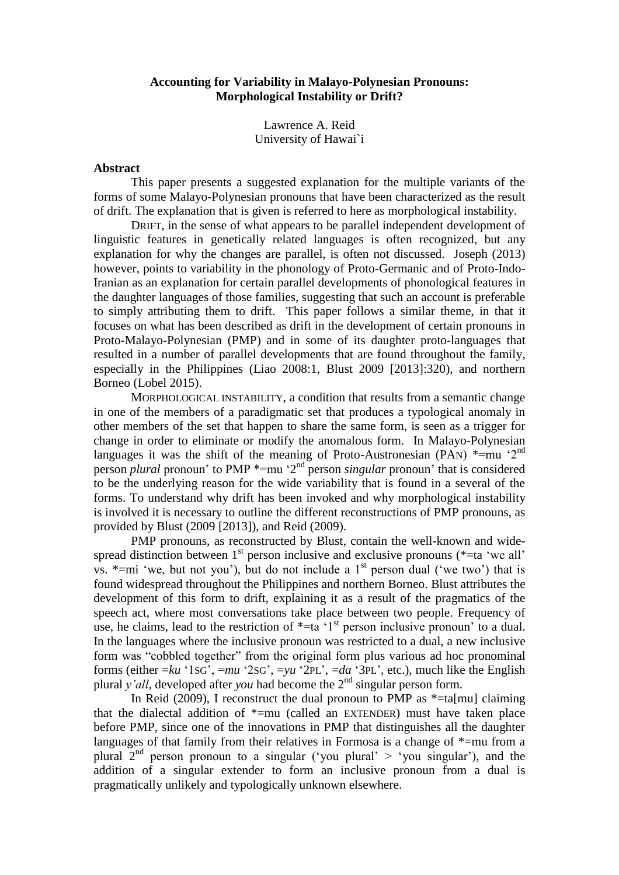## **Accounting for Variability in Malayo-Polynesian Pronouns: Morphological Instability or Drift?**

Lawrence A. Reid University of Hawai`i

## **Abstract**

This paper presents a suggested explanation for the multiple variants of the forms of some Malayo-Polynesian pronouns that have been characterized as the result of drift. The explanation that is given is referred to here as morphological instability.

DRIFT, in the sense of what appears to be parallel independent development of linguistic features in genetically related languages is often recognized, but any explanation for why the changes are parallel, is often not discussed. Joseph (2013) however, points to variability in the phonology of Proto-Germanic and of Proto-Indo-Iranian as an explanation for certain parallel developments of phonological features in the daughter languages of those families, suggesting that such an account is preferable to simply attributing them to drift. This paper follows a similar theme, in that it focuses on what has been described as drift in the development of certain pronouns in Proto-Malayo-Polynesian (PMP) and in some of its daughter proto-languages that resulted in a number of parallel developments that are found throughout the family, especially in the Philippines (Liao 2008:1, Blust 2009 [2013]:320), and northern Borneo (Lobel 2015).

MORPHOLOGICAL INSTABILITY, a condition that results from a semantic change in one of the members of a paradigmatic set that produces a typological anomaly in other members of the set that happen to share the same form, is seen as a trigger for change in order to eliminate or modify the anomalous form. In Malayo-Polynesian languages it was the shift of the meaning of Proto-Austronesian (PAN)  $*=mu$  '2<sup>nd</sup> person *plural* pronoun' to PMP \*=mu '2<sup>nd</sup> person *singular* pronoun' that is considered to be the underlying reason for the wide variability that is found in a several of the forms. To understand why drift has been invoked and why morphological instability is involved it is necessary to outline the different reconstructions of PMP pronouns, as provided by Blust (2009 [2013]), and Reid (2009).

PMP pronouns, as reconstructed by Blust, contain the well-known and widespread distinction between  $1<sup>st</sup>$  person inclusive and exclusive pronouns (\*=ta 'we all' vs.  $*=mi$  'we, but not you'), but do not include a 1<sup>st</sup> person dual ('we two') that is found widespread throughout the Philippines and northern Borneo. Blust attributes the development of this form to drift, explaining it as a result of the pragmatics of the speech act, where most conversations take place between two people. Frequency of use, he claims, lead to the restriction of  $*$ =ta '1<sup>st</sup> person inclusive pronoun' to a dual. In the languages where the inclusive pronoun was restricted to a dual, a new inclusive form was "cobbled together" from the original form plus various ad hoc pronominal forms (either =*ku* '1SG', =*mu* '2SG', =*yu* '2PL', =*da* '3PL', etc.), much like the English plural *y'all*, developed after *you* had become the 2<sup>nd</sup> singular person form.

In Reid (2009), I reconstruct the dual pronoun to PMP as  $*=$ ta[mu] claiming that the dialectal addition of  $*=$ mu (called an EXTENDER) must have taken place before PMP, since one of the innovations in PMP that distinguishes all the daughter languages of that family from their relatives in Formosa is a change of \*=mu from a plural  $2<sup>nd</sup>$  person pronoun to a singular ('you plural' > 'you singular'), and the addition of a singular extender to form an inclusive pronoun from a dual is pragmatically unlikely and typologically unknown elsewhere.